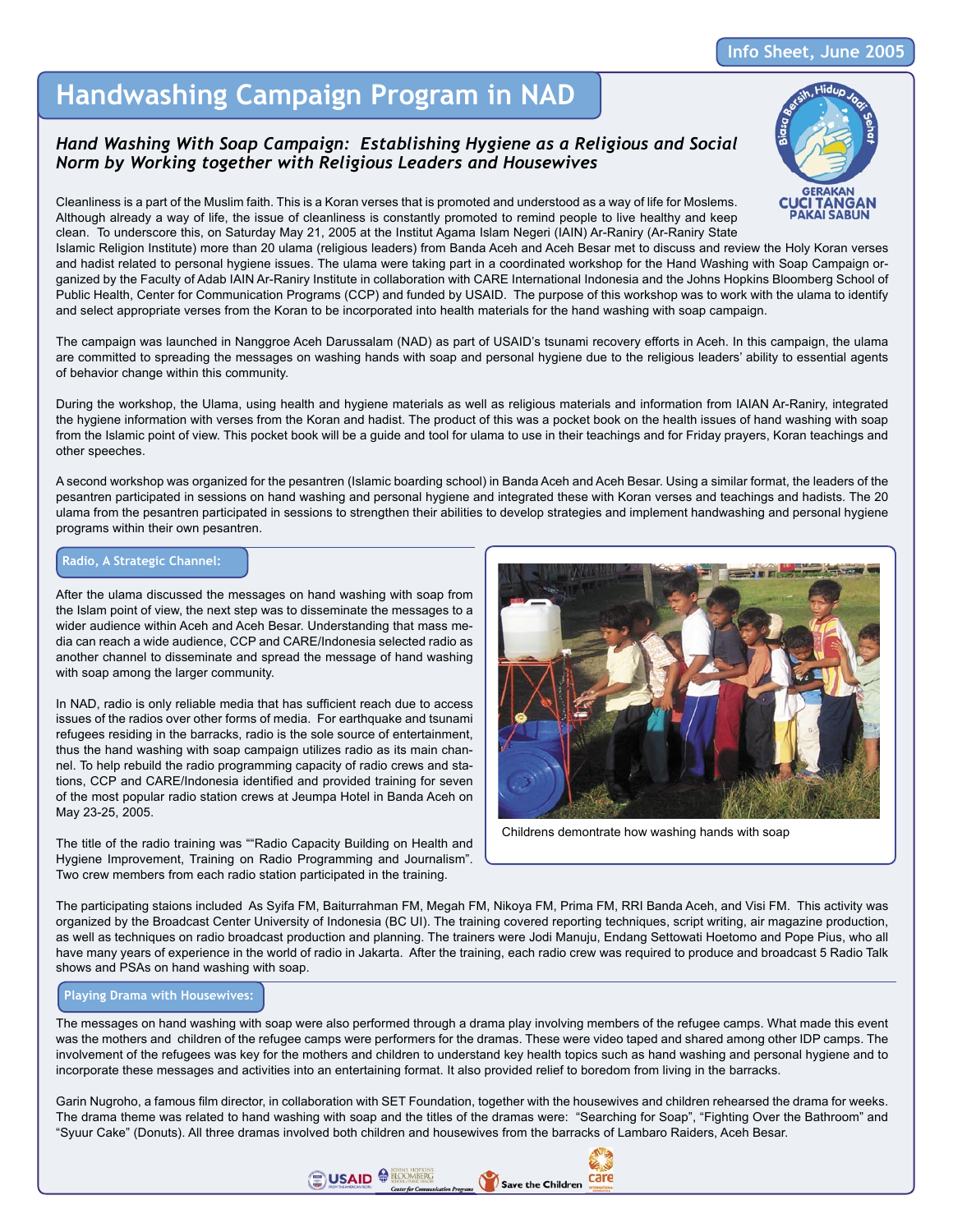### **Info Sheet, June 2005**

## **Handwashing Campaign Program in NAD**

## *Hand Washing With Soap Campaign: Establishing Hygiene as a Religious and Social Norm by Working together with Religious Leaders and Housewives*

Cleanliness is a part of the Muslim faith. This is a Koran verses that is promoted and understood as a way of life for Moslems. Although already a way of life, the issue of cleanliness is constantly promoted to remind people to live healthy and keep clean. To underscore this, on Saturday May 21, 2005 at the Institut Agama Islam Negeri (IAIN) Ar-Raniry (Ar-Raniry State

Islamic Religion Institute) more than 20 ulama (religious leaders) from Banda Aceh and Aceh Besar met to discuss and review the Holy Koran verses and hadist related to personal hygiene issues. The ulama were taking part in a coordinated workshop for the Hand Washing with Soap Campaign organized by the Faculty of Adab IAIN Ar-Raniry Institute in collaboration with CARE International Indonesia and the Johns Hopkins Bloomberg School of Public Health, Center for Communication Programs (CCP) and funded by USAID. The purpose of this workshop was to work with the ulama to identify and select appropriate verses from the Koran to be incorporated into health materials for the hand washing with soap campaign.

The campaign was launched in Nanggroe Aceh Darussalam (NAD) as part of USAID's tsunami recovery efforts in Aceh. In this campaign, the ulama are committed to spreading the messages on washing hands with soap and personal hygiene due to the religious leaders' ability to essential agents of behavior change within this community.

During the workshop, the Ulama, using health and hygiene materials as well as religious materials and information from IAIAN Ar-Raniry, integrated the hygiene information with verses from the Koran and hadist. The product of this was a pocket book on the health issues of hand washing with soap from the Islamic point of view. This pocket book will be a guide and tool for ulama to use in their teachings and for Friday prayers, Koran teachings and other speeches.

A second workshop was organized for the pesantren (Islamic boarding school) in Banda Aceh and Aceh Besar. Using a similar format, the leaders of the pesantren participated in sessions on hand washing and personal hygiene and integrated these with Koran verses and teachings and hadists. The 20 ulama from the pesantren participated in sessions to strengthen their abilities to develop strategies and implement handwashing and personal hygiene programs within their own pesantren.

#### **Radio, A Strategic Channel:**

After the ulama discussed the messages on hand washing with soap from the Islam point of view, the next step was to disseminate the messages to a wider audience within Aceh and Aceh Besar. Understanding that mass media can reach a wide audience, CCP and CARE/Indonesia selected radio as another channel to disseminate and spread the message of hand washing with soap among the larger community.

In NAD, radio is only reliable media that has sufficient reach due to access issues of the radios over other forms of media. For earthquake and tsunami refugees residing in the barracks, radio is the sole source of entertainment, thus the hand washing with soap campaign utilizes radio as its main channel. To help rebuild the radio programming capacity of radio crews and stations, CCP and CARE/Indonesia identified and provided training for seven of the most popular radio station crews at Jeumpa Hotel in Banda Aceh on May 23-25, 2005.

The title of the radio training was ""Radio Capacity Building on Health and Hygiene Improvement, Training on Radio Programming and Journalism". Two crew members from each radio station participated in the training.



Childrens demontrate how washing hands with soap

The participating staions included As Syifa FM, Baiturrahman FM, Megah FM, Nikoya FM, Prima FM, RRI Banda Aceh, and Visi FM. This activity was organized by the Broadcast Center University of Indonesia (BC UI). The training covered reporting techniques, script writing, air magazine production, as well as techniques on radio broadcast production and planning. The trainers were Jodi Manuju, Endang Settowati Hoetomo and Pope Pius, who all have many years of experience in the world of radio in Jakarta. After the training, each radio crew was required to produce and broadcast 5 Radio Talk shows and PSAs on hand washing with soap.

#### **Playing Drama with Housewives:**

The messages on hand washing with soap were also performed through a drama play involving members of the refugee camps. What made this event was the mothers and children of the refugee camps were performers for the dramas. These were video taped and shared among other IDP camps. The involvement of the refugees was key for the mothers and children to understand key health topics such as hand washing and personal hygiene and to incorporate these messages and activities into an entertaining format. It also provided relief to boredom from living in the barracks.

Garin Nugroho, a famous film director, in collaboration with SET Foundation, together with the housewives and children rehearsed the drama for weeks. The drama theme was related to hand washing with soap and the titles of the dramas were: "Searching for Soap", "Fighting Over the Bathroom" and "Syuur Cake" (Donuts). All three dramas involved both children and housewives from the barracks of Lambaro Raiders, Aceh Besar.